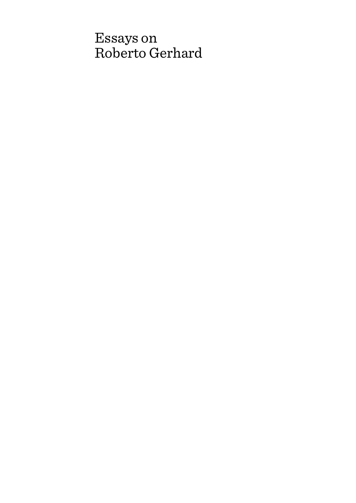# Essays on Roberto Gerhard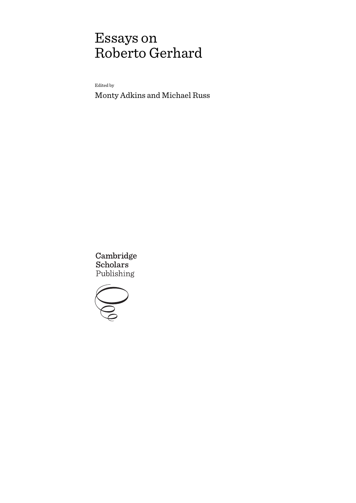# Essays on Roberto Gerhard

Edited by

Monty Adkins and Michael Russ

Cambridge Scholars Publishing

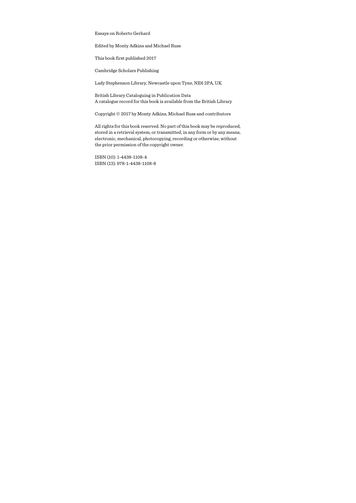Essays on Roberto Gerhard

Edited by Monty Adkins and Michael Russ

This book first published 2017

Cambridge Scholars Publishing

Lady Stephenson Library, Newcastle upon Tyne, NE6 2PA, UK

British Library Cataloguing in Publication Data A catalogue record for this book is available from the British Library

Copyright © 2017 by Monty Adkins, Michael Russ and contributors

All rights for this book reserved. No part of this book may be reproduced, stored in a retrieval system, or transmitted, in any form or by any means, electronic, mechanical, photocopying, recording or otherwise, without the prior permission of the copyright owner.

ISBN (10): 1-4438-1108-4 ISBN (13): 978-1-4438-1108-8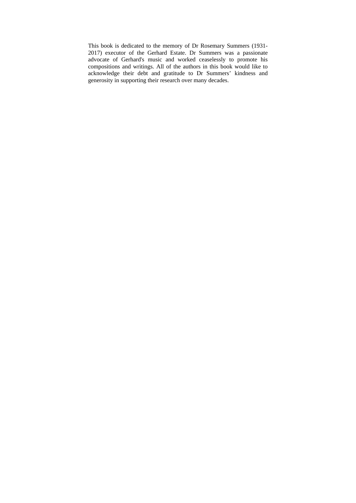This book is dedicated to the memory of Dr Rosemary Summers (1931- 2017) executor of the Gerhard Estate. Dr Summers was a passionate advocate of Gerhard's music and worked ceaselessly to promote his compositions and writings. All of the authors in this book would like to acknowledge their debt and gratitude to Dr Summers' kindness and generosity in supporting their research over many decades.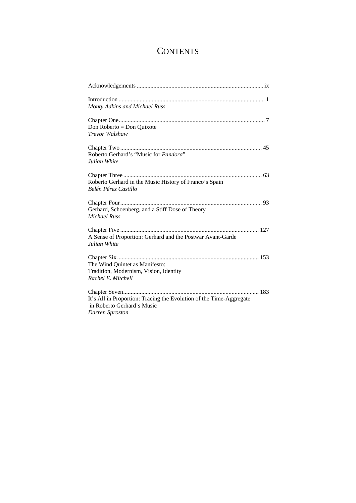# **CONTENTS**

| Monty Adkins and Michael Russ                                       |
|---------------------------------------------------------------------|
|                                                                     |
| Don Roberto = Don Quixote                                           |
| Trevor Walshaw                                                      |
|                                                                     |
| Roberto Gerhard's "Music for Pandora"                               |
| Julian White                                                        |
|                                                                     |
| Roberto Gerhard in the Music History of Franco's Spain              |
| Belén Pérez Castillo                                                |
|                                                                     |
| Gerhard, Schoenberg, and a Stiff Dose of Theory                     |
| <b>Michael Russ</b>                                                 |
|                                                                     |
| A Sense of Proportion: Gerhard and the Postwar Avant-Garde          |
| Julian White                                                        |
|                                                                     |
| The Wind Quintet as Manifesto:                                      |
| Tradition, Modernism, Vision, Identity                              |
| Rachel E. Mitchell                                                  |
|                                                                     |
| It's All in Proportion: Tracing the Evolution of the Time-Aggregate |
| in Roberto Gerhard's Music                                          |
| Darren Sproston                                                     |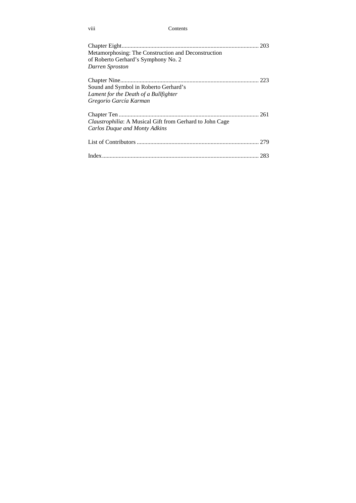viii Contents

| Metamorphosing: The Construction and Deconstruction<br>of Roberto Gerhard's Symphony No. 2<br>Darren Sproston |  |
|---------------------------------------------------------------------------------------------------------------|--|
| Sound and Symbol in Roberto Gerhard's                                                                         |  |
| Lament for the Death of a Bullfighter                                                                         |  |
| Gregorio García Karman                                                                                        |  |
|                                                                                                               |  |
| <i>Claustrophilia:</i> A Musical Gift from Gerhard to John Cage                                               |  |
| Carlos Duque and Monty Adkins                                                                                 |  |
|                                                                                                               |  |
|                                                                                                               |  |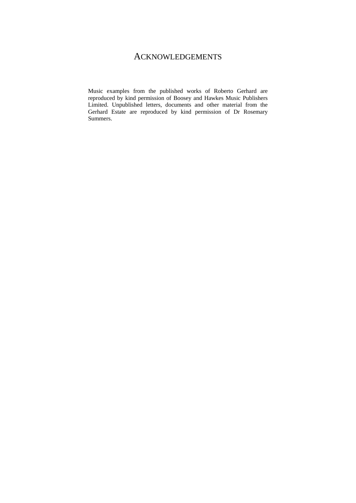# ACKNOWLEDGEMENTS

Music examples from the published works of Roberto Gerhard are reproduced by kind permission of Boosey and Hawkes Music Publishers Limited. Unpublished letters, documents and other material from the Gerhard Estate are reproduced by kind permission of Dr Rosemary Summers.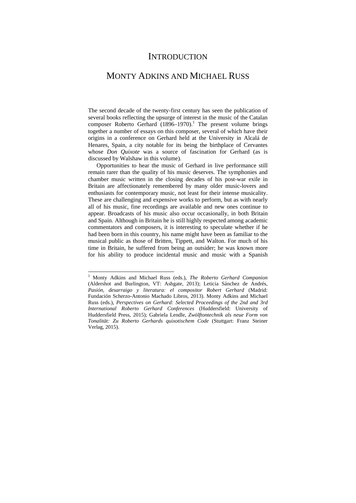## **INTRODUCTION**

## MONTY ADKINS AND MICHAEL RUSS

The second decade of the twenty-first century has seen the publication of several books reflecting the upsurge of interest in the music of the Catalan composer Roberto Gerhard  $(1896-1970)$ .<sup>1</sup> The present volume brings together a number of essays on this composer, several of which have their origins in a conference on Gerhard held at the University in Alcalá de Henares, Spain, a city notable for its being the birthplace of Cervantes whose *Don Quixote* was a source of fascination for Gerhard (as is discussed by Walshaw in this volume).

Opportunities to hear the music of Gerhard in live performance still remain rarer than the quality of his music deserves. The symphonies and chamber music written in the closing decades of his post-war exile in Britain are affectionately remembered by many older music-lovers and enthusiasts for contemporary music, not least for their intense musicality. These are challenging and expensive works to perform, but as with nearly all of his music, fine recordings are available and new ones continue to appear. Broadcasts of his music also occur occasionally, in both Britain and Spain. Although in Britain he is still highly respected among academic commentators and composers, it is interesting to speculate whether if he had been born in this country, his name might have been as familiar to the musical public as those of Britten, Tippett, and Walton. For much of his time in Britain, he suffered from being an outsider; he was known more for his ability to produce incidental music and music with a Spanish

-

<sup>1</sup> Monty Adkins and Michael Russ (eds.), *The Roberto Gerhard Companion* (Aldershot and Burlington, VT: Ashgate, 2013); Leticia Sánchez de Andrés, *Pasión, desarraigo y literatura: el compositor Robert Gerhard* (Madrid: Fundación Scherzo-Antonio Machado Libros, 2013). Monty Adkins and Michael Russ (eds.), *Perspectives on Gerhard: Selected Proceedings of the 2nd and 3rd International Roberto Gerhard Conferences* (Huddersfield: University of Huddersfield Press, 2015); Gabriela Lendle, *Zwölftontechnik als neue Form von Tonalität: Zu Roberto Gerhards quixotischem Code* (Stuttgart: Franz Steiner Verlag, 2015).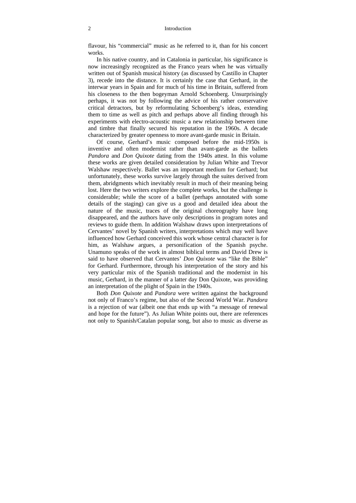#### 2 Introduction

flavour, his "commercial" music as he referred to it, than for his concert works.

In his native country, and in Catalonia in particular, his significance is now increasingly recognized as the Franco years when he was virtually written out of Spanish musical history (as discussed by Castillo in Chapter 3), recede into the distance. It is certainly the case that Gerhard, in the interwar years in Spain and for much of his time in Britain, suffered from his closeness to the then bogeyman Arnold Schoenberg. Unsurprisingly perhaps, it was not by following the advice of his rather conservative critical detractors, but by reformulating Schoenberg's ideas, extending them to time as well as pitch and perhaps above all finding through his experiments with electro-acoustic music a new relationship between time and timbre that finally secured his reputation in the 1960s. A decade characterized by greater openness to more avant-garde music in Britain.

Of course, Gerhard's music composed before the mid-1950s is inventive and often modernist rather than avant-garde as the ballets *Pandora* and *Don Quixote* dating from the 1940s attest. In this volume these works are given detailed consideration by Julian White and Trevor Walshaw respectively. Ballet was an important medium for Gerhard; but unfortunately, these works survive largely through the suites derived from them, abridgments which inevitably result in much of their meaning being lost. Here the two writers explore the complete works, but the challenge is considerable; while the score of a ballet (perhaps annotated with some details of the staging) can give us a good and detailed idea about the nature of the music, traces of the original choreography have long disappeared, and the authors have only descriptions in program notes and reviews to guide them. In addition Walshaw draws upon interpretations of Cervantes' novel by Spanish writers, interpretations which may well have influenced how Gerhard conceived this work whose central character is for him, as Walshaw argues, a personification of the Spanish psyche. Unamuno speaks of the work in almost biblical terms and David Drew is said to have observed that Cervantes' *Don Quixote* was "like the Bible" for Gerhard. Furthermore, through his interpretation of the story and his very particular mix of the Spanish traditional and the modernist in his music, Gerhard, in the manner of a latter day Don Quixote, was providing an interpretation of the plight of Spain in the 1940s.

Both *Don Quixote* and *Pandora* were written against the background not only of Franco's regime, but also of the Second World War. *Pandora* is a rejection of war (albeit one that ends up with "a message of renewal and hope for the future"). As Julian White points out, there are references not only to Spanish/Catalan popular song, but also to music as diverse as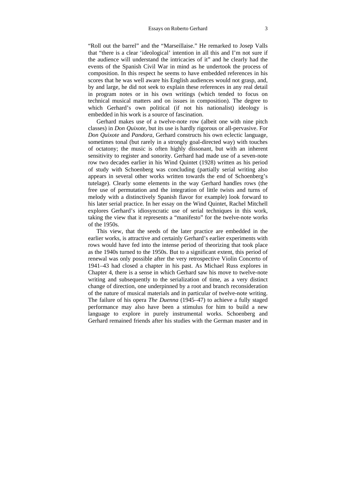"Roll out the barrel" and the "Marseillaise." He remarked to Josep Valls that "there is a clear 'ideological' intention in all this and I'm not sure if the audience will understand the intricacies of it" and he clearly had the events of the Spanish Civil War in mind as he undertook the process of composition. In this respect he seems to have embedded references in his scores that he was well aware his English audiences would not grasp, and, by and large, he did not seek to explain these references in any real detail in program notes or in his own writings (which tended to focus on technical musical matters and on issues in composition). The degree to which Gerhard's own political (if not his nationalist) ideology is embedded in his work is a source of fascination.

Gerhard makes use of a twelve-note row (albeit one with nine pitch classes) in *Don Quixote*, but its use is hardly rigorous or all-pervasive. For *Don Quixote* and *Pandora*, Gerhard constructs his own eclectic language, sometimes tonal (but rarely in a strongly goal-directed way) with touches of octatony; the music is often highly dissonant, but with an inherent sensitivity to register and sonority. Gerhard had made use of a seven-note row two decades earlier in his Wind Quintet (1928) written as his period of study with Schoenberg was concluding (partially serial writing also appears in several other works written towards the end of Schoenberg's tutelage). Clearly some elements in the way Gerhard handles rows (the free use of permutation and the integration of little twists and turns of melody with a distinctively Spanish flavor for example) look forward to his later serial practice. In her essay on the Wind Quintet, Rachel Mitchell explores Gerhard's idiosyncratic use of serial techniques in this work, taking the view that it represents a "manifesto" for the twelve-note works of the 1950s.

This view, that the seeds of the later practice are embedded in the earlier works, is attractive and certainly Gerhard's earlier experiments with rows would have fed into the intense period of theorizing that took place as the 1940s turned to the 1950s. But to a significant extent, this period of renewal was only possible after the very retrospective Violin Concerto of 1941–43 had closed a chapter in his past. As Michael Russ explores in Chapter 4, there is a sense in which Gerhard saw his move to twelve-note writing and subsequently to the serialization of time, as a very distinct change of direction, one underpinned by a root and branch reconsideration of the nature of musical materials and in particular of twelve-note writing. The failure of his opera *The Duenna* (1945–47) to achieve a fully staged performance may also have been a stimulus for him to build a new language to explore in purely instrumental works. Schoenberg and Gerhard remained friends after his studies with the German master and in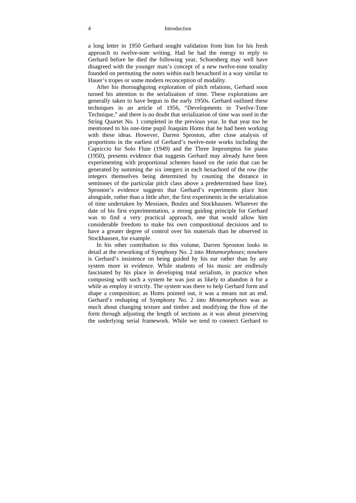#### 4 Introduction

a long letter in 1950 Gerhard sought validation from him for his fresh approach to twelve-note writing. Had he had the energy to reply to Gerhard before he died the following year, Schoenberg may well have disagreed with the younger man's concept of a new twelve-tone tonality founded on permuting the notes within each hexachord in a way similar to Hauer's tropes or some modern reconception of modality.

After his thoroughgoing exploration of pitch relations, Gerhard soon turned his attention to the serialization of time. These explorations are generally taken to have begun in the early 1950s. Gerhard outlined these techniques in an article of 1956, "Developments in Twelve-Tone Technique," and there is no doubt that serialization of time was used in the String Quartet No. 1 completed in the previous year. In that year too he mentioned to his one-time pupil Joaquim Homs that he had been working with these ideas. However, Darren Sproston, after close analysis of proportions in the earliest of Gerhard's twelve-note works including the Capriccio for Solo Flute (1949) and the Three Impromptus for piano (1950), presents evidence that suggests Gerhard may already have been experimenting with proportional schemes based on the ratio that can be generated by summing the six integers in each hexachord of the row (the integers themselves being determined by counting the distance in semitones of the particular pitch class above a predetermined base line). Sproston's evidence suggests that Gerhard's experiments place him alongside, rather than a little after, the first experiments in the serialization of time undertaken by Messiaen, Boulez and Stockhausen. Whatever the date of his first experimentation, a strong guiding principle for Gerhard was to find a very practical approach, one that would allow him considerable freedom to make his own compositional decisions and to have a greater degree of control over his materials than he observed in Stockhausen, for example.

In his other contribution to this volume, Darren Sproston looks in detail at the reworking of Symphony No. 2 into *Metamorphoses*; nowhere is Gerhard's insistence on being guided by his ear rather than by any system more in evidence. While students of his music are endlessly fascinated by his place in developing total serialism, in practice when composing with such a system he was just as likely to abandon it for a while as employ it strictly. The system was there to help Gerhard form and shape a composition; as Homs pointed out, it was a means not an end. Gerhard's reshaping of Symphony No. 2 into *Metamorphoses* was as much about changing texture and timbre and modifying the flow of the form through adjusting the length of sections as it was about preserving the underlying serial framework. While we tend to connect Gerhard to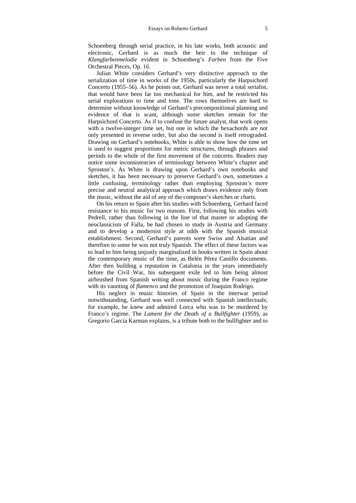Schoenberg through serial practice, in his late works, both acoustic and electronic, Gerhard is as much the heir to the technique of *Klangfarbenmelodie* evident in Schoenberg's *Farben* from the Five Orchestral Pieces, Op. 16.

Julian White considers Gerhard's very distinctive approach to the serialization of time in works of the 1950s, particularly the Harpsichord Concerto (1955–56). As he points out, Gerhard was never a total serialist, that would have been far too mechanical for him, and he restricted his serial explorations to time and tone. The rows themselves are hard to determine without knowledge of Gerhard's precompositional planning and evidence of that is scant, although some sketches remain for the Harpsichord Concerto. As if to confuse the future analyst, that work opens with a twelve-integer time set, but one in which the hexachords are not only presented in reverse order, but also the second is itself retrograded. Drawing on Gerhard's notebooks, White is able to show how the time set is used to suggest proportions for metric structures, through phrases and periods to the whole of the first movement of the concerto. Readers may notice some inconsistencies of terminology between White's chapter and Sproston's. As White is drawing upon Gerhard's own notebooks and sketches, it has been necessary to preserve Gerhard's own, sometimes a little confusing, terminology rather than employing Sproston's more precise and neutral analytical approach which draws evidence only from the music, without the aid of any of the composer's sketches or charts.

On his return to Spain after his studies with Schoenberg, Gerhard faced resistance to his music for two reasons. First, following his studies with Pedrell, rather than following in the line of that master or adopting the neoclassicism of Falla, he had chosen to study in Austria and Germany and to develop a modernist style at odds with the Spanish musical establishment. Second, Gerhard's parents were Swiss and Alsatian and therefore to some he was not truly Spanish. The effect of these factors was to lead to him being unjustly marginalized in books written in Spain about the contemporary music of the time, as Belén Pérez Castillo documents. After then building a reputation in Catalonia in the years immediately before the Civil War, his subsequent exile led to him being almost airbrushed from Spanish writing about music during the Franco regime with its vaunting of *flamenco* and the promotion of Joaquim Rodrigo.

His neglect in music histories of Spain in the interwar period notwithstanding, Gerhard was well connected with Spanish intellectuals; for example, he knew and admired Lorca who was to be murdered by Franco's regime. The *Lament for the Death of a Bullfighter* (1959), as Gregorio Garcia Karman explains, is a tribute both to the bullfighter and to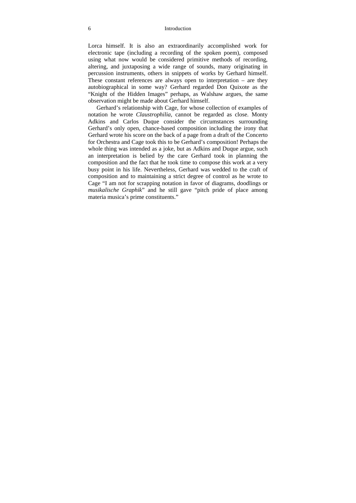#### 6 Introduction

Lorca himself. It is also an extraordinarily accomplished work for electronic tape (including a recording of the spoken poem), composed using what now would be considered primitive methods of recording, altering, and juxtaposing a wide range of sounds, many originating in percussion instruments, others in snippets of works by Gerhard himself. These constant references are always open to interpretation – are they autobiographical in some way? Gerhard regarded Don Quixote as the "Knight of the Hidden Images" perhaps, as Walshaw argues, the same observation might be made about Gerhard himself.

Gerhard's relationship with Cage, for whose collection of examples of notation he wrote *Claustrophilia*, cannot be regarded as close. Monty Adkins and Carlos Duque consider the circumstances surrounding Gerhard's only open, chance-based composition including the irony that Gerhard wrote his score on the back of a page from a draft of the Concerto for Orchestra and Cage took this to be Gerhard's composition! Perhaps the whole thing was intended as a joke, but as Adkins and Duque argue, such an interpretation is belied by the care Gerhard took in planning the composition and the fact that he took time to compose this work at a very busy point in his life. Nevertheless, Gerhard was wedded to the craft of composition and to maintaining a strict degree of control as he wrote to Cage "I am not for scrapping notation in favor of diagrams, doodlings or *musikalische Graphik*" and he still gave "pitch pride of place among materia musica's prime constituents."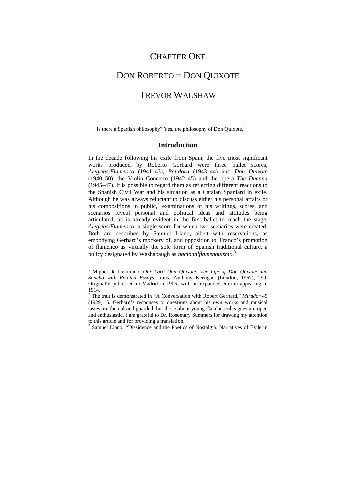## CHAPTER ONE

# DON ROBERTO = DON QUIXOTE

### TREVOR WALSHAW

Is there a Spanish philosophy? Yes, the philosophy of Don Quixote.<sup>1</sup>

#### **Introduction**

In the decade following his exile from Spain, the five most significant works produced by Roberto Gerhard were three ballet scores, *Alegrías/Flamenco* (1941–43)*, Pandora* (1943–44) and *Don Quixote*  (1940–50), the Violin Concerto (1942–45) and the opera *The Duenna*  (1945–47). It is possible to regard them as reflecting different reactions to the Spanish Civil War and his situation as a Catalan Spaniard in exile. Although he was always reluctant to discuss either his personal affairs or his compositions in public, $2$  examinations of his writings, scores, and scenarios reveal personal and political ideas and attitudes being articulated, as is already evident in the first ballet to reach the stage, *Alegrías/Flamenco*, a single score for which two scenarios were created. Both are described by Samuel Llano, albeit with reservations, as embodying Gerhard's mockery of, and opposition to, Franco's promotion of flamenco as virtually the sole form of Spanish traditional culture, a policy designated by Washabaugh as *nacionalflamenquismo.*<sup>3</sup>

<sup>&</sup>lt;sup>1</sup> Miguel de Unamuno, Our Lord Don Quixote: The Life of Don Quixote and *Sancho with Related Essays,* trans. Anthony Kerrigan (London, 1967), 290. Originally published in Madrid in 1905, with an expanded edition appearing in 1914.

<sup>2</sup> The trait is demonstrated in "A Conversation with Robert Gerhard," *Mirador* 49 (1929), 5. Gerhard's responses to questions about his own works and musical tastes are factual and guarded, but those about young Catalan colleagues are open and enthusiastic. I am grateful to Dr. Rosemary Summers for drawing my attention to this article and for providing a translation.

<sup>&</sup>lt;sup>3</sup> Samuel Llano, "Dissidence and the Poetics of Nostalgia: Narratives of Exile in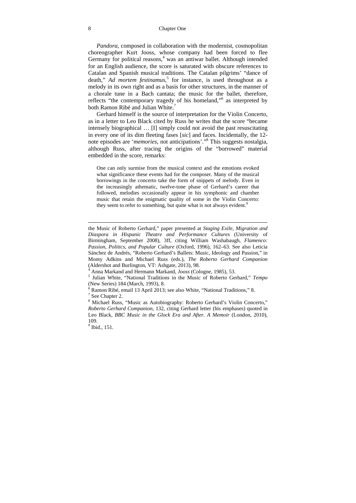*Pandora*, composed in collaboration with the modernist, cosmopolitan choreographer Kurt Jooss, whose company had been forced to flee Germany for political reasons,<sup>4</sup> was an antiwar ballet. Although intended for an English audience, the score is saturated with obscure references to Catalan and Spanish musical traditions. The Catalan pilgrims' "dance of death," *Ad mortem festinamus*, <sup>5</sup> for instance, is used throughout as a melody in its own right and as a basis for other structures, in the manner of a chorale tune in a Bach cantata; the music for the ballet, therefore, reflects "the contemporary tragedy of his homeland,"<sup>6</sup> as interpreted by both Ramon Ribé and Julian White.<sup>7</sup>

Gerhard himself is the source of interpretation for the Violin Concerto, as in a letter to Leo Black cited by Russ he writes that the score "became intensely biographical … [I] simply could not avoid the past resuscitating in every one of its dim fleeting fases [*sic*] and faces. Incidentally, the 12 note episodes are '*memories*, not anticipations'."8 This suggests nostalgia, although Russ, after tracing the origins of the "borrowed" material embedded in the score, remarks:

One can only surmise from the musical context and the emotions evoked what significance these events had for the composer. Many of the musical borrowings in the concerto take the form of snippets of melody. Even in the increasingly athematic, twelve-tone phase of Gerhard's career that followed, melodies occasionally appear in his symphonic and chamber music that retain the enigmatic quality of some in the Violin Concerto: they seem to refer to something, but quite what is not always evident.<sup>9</sup>

the Music of Roberto Gerhard," paper presented at *Staging Exile, Migration and Diaspora in Hispanic Theatre and Performance Cultures* (University of Birmingham, September 2008), 3ff, citing William Washabaugh, *Flamenco: Passion, Politics, and Popular Culture* (Oxford, 1996), 162–63. See also Leticia Sánchez de Andrés, "Roberto Gerhard's Ballets: Music, Ideology and Passion," in Monty Adkins and Michael Russ (eds.), *The Roberto Gerhard Companion* (Aldershot and Burlington, VT: Ashgate, 2013), 98.

<sup>4</sup> Anna Markand and Hermann Markand, *Jooss* (Cologne, 1985), 53.

<sup>&</sup>lt;sup>5</sup> Julian White, "National Traditions in the Music of Roberto Gerhard," *Tempo* (New Series) 184 (March, 1993), 8.

 $6$  Ramon Ribé, email 13 April 2013; see also White, "National Traditions," 8.

 $7$  See Chapter 2.

<sup>&</sup>lt;sup>8</sup> Michael Russ, "Music as Autobiography: Roberto Gerhard's Violin Concerto," *Roberto Gerhard Companion,* 132, citing Gerhard letter (his emphases) quoted in Leo Black, *BBC Music in the Glock Era and After. A Memoir* (London, 2010), 109.

<sup>&</sup>lt;sup>9</sup> Ibid., 151.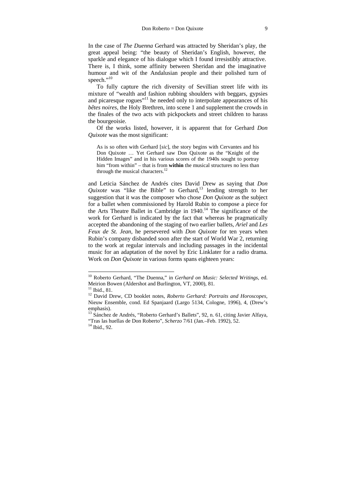In the case of *The Duenna* Gerhard was attracted by Sheridan's play, the great appeal being: "the beauty of Sheridan's English, however, the sparkle and elegance of his dialogue which I found irresistibly attractive. There is, I think, some affinity between Sheridan and the imaginative humour and wit of the Andalusian people and their polished turn of speech."<sup>10</sup>

To fully capture the rich diversity of Sevillian street life with its mixture of "wealth and fashion rubbing shoulders with beggars, gypsies and picaresque rogues<sup>"11</sup> he needed only to interpolate appearances of his *bêtes noires*, the Holy Brethren, into scene 1 and supplement the crowds in the finales of the two acts with pickpockets and street children to harass the bourgeoisie.

Of the works listed, however, it is apparent that for Gerhard *Don Quixote* was the most significant:

As is so often with Gerhard [*sic*], the story begins with Cervantes and his Don Quixote … Yet Gerhard saw Don Quixote as the "Knight of the Hidden Images" and in his various scores of the 1940s sought to portray him "from within" – that is from **within** the musical structures no less than through the musical characters. $^{12}$ 

and Leticia Sánchez de Andrés cites David Drew as saying that *Don Quixote* was "like the Bible" to Gerhard,<sup>13</sup> lending strength to her suggestion that it was the composer who chose *Don Quixote* as the subject for a ballet when commissioned by Harold Rubin to compose a piece for the Arts Theatre Ballet in Cambridge in  $1940$ .<sup>14</sup> The significance of the work for Gerhard is indicated by the fact that whereas he pragmatically accepted the abandoning of the staging of two earlier ballets, *Ariel* and *Les Feux de St. Jean*, he persevered with *Don Quixote* for ten years when Rubin's company disbanded soon after the start of World War 2, returning to the work at regular intervals and including passages in the incidental music for an adaptation of the novel by Eric Linklater for a radio drama. Work on *Don Quixote* in various forms spans eighteen years:

 $\overline{\phantom{a}}$ 

<sup>10</sup> Roberto Gerhard, "The Duenna," in *Gerhard on Music: Selected Writings*, ed. Meirion Bowen (Aldershot and Burlington, VT, 2000), 81.

 $11$  Ibid., 81.

<sup>&</sup>lt;sup>12</sup> David Drew, CD booklet notes, *Roberto Gerhard: Portraits and Horoscopes*, Nieuw Ensemble, cond. Ed Spanjaard (Largo 5134, Cologne, 1996), 4, (Drew's emphasis).

<sup>&</sup>lt;sup>13</sup> Sánchez de Andrés, "Roberto Gerhard's Ballets", 92, n. 61, citing Javier Alfaya, "Tras las huellas de Don Roberto", *Scherzo* 7/61 (Jan.–Feb. 1992), 52. 14 Ibid., 92.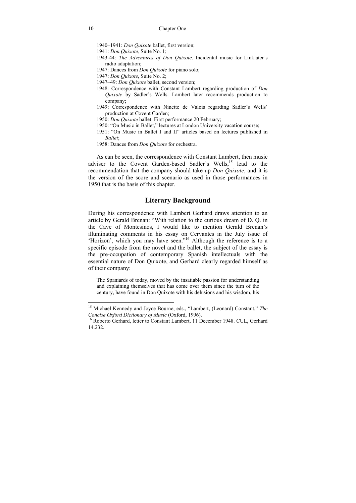- 1940–1941: *Don Quixote* ballet, first version;
- 1941: *Don Quixote,* Suite No. 1;
- 1943-44: *The Adventures of Don Quixote*. Incidental music for Linklater's radio adaptation;
- 1947: Dances from *Don Quixote* for piano solo;
- 1947: *Don Quixote*, Suite No. 2;
- 1947–49: *Don Quixote* ballet, second version;
- 1948: Correspondence with Constant Lambert regarding production of *Don Quixote* by Sadler's Wells. Lambert later recommends production to company;
- 1949: Correspondence with Ninette de Valois regarding Sadler's Wells' production at Covent Garden;
- 1950: *Don Quixote* ballet. First performance 20 February;
- 1950: "On Music in Ballet," lectures at London University vacation course;
- 1951: "On Music in Ballet I and II" articles based on lectures published in *Ballet*;
- 1958: Dances from *Don Quixote* for orchestra.

As can be seen, the correspondence with Constant Lambert, then music adviser to the Covent Garden-based Sadler's Wells,<sup>15</sup> lead to the recommendation that the company should take up *Don Quixote*, and it is the version of the score and scenario as used in those performances in 1950 that is the basis of this chapter.

#### **Literary Background**

During his correspondence with Lambert Gerhard draws attention to an article by Gerald Brenan: "With relation to the curious dream of D. Q. in the Cave of Montesinos, I would like to mention Gerald Brenan's illuminating comments in his essay on Cervantes in the July issue of 'Horizon', which you may have seen."16 Although the reference is to a specific episode from the novel and the ballet, the subject of the essay is the pre-occupation of contemporary Spanish intellectuals with the essential nature of Don Quixote, and Gerhard clearly regarded himself as of their company:

The Spaniards of today, moved by the insatiable passion for understanding and explaining themselves that has come over them since the turn of the century, have found in Don Quixote with his delusions and his wisdom, his

 $\overline{\phantom{a}}$ 

<sup>15</sup> Michael Kennedy and Joyce Bourne, eds., "Lambert, (Leonard) Constant," *The Concise Oxford Dictionary of Music* (Oxford, 1996).<br><sup>16</sup> Roberto Gerhard, letter to Constant Lambert, 11 December 1948. CUL, Gerhard

<sup>14.232.</sup>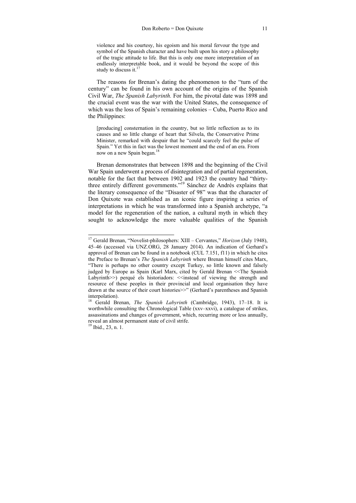violence and his courtesy, his egoism and his moral fervour the type and symbol of the Spanish character and have built upon his story a philosophy of the tragic attitude to life. But this is only one more interpretation of an endlessly interpretable book, and it would be beyond the scope of this study to discuss it. $17$ 

The reasons for Brenan's dating the phenomenon to the "turn of the century" can be found in his own account of the origins of the Spanish Civil War, *The Spanish Labyrinth.* For him, the pivotal date was 1898 and the crucial event was the war with the United States, the consequence of which was the loss of Spain's remaining colonies – Cuba, Puerto Rico and the Philippines:

[producing] consternation in the country, but so little reflection as to its causes and so little change of heart that Silvela, the Conservative Prime Minister, remarked with despair that he "could scarcely feel the pulse of Spain." Yet this in fact was the lowest moment and the end of an era. From now on a new Spain began.<sup>18</sup>

Brenan demonstrates that between 1898 and the beginning of the Civil War Spain underwent a process of disintegration and of partial regeneration, notable for the fact that between 1902 and 1923 the country had "thirtythree entirely different governments."<sup>19</sup> Sánchez de Andrés explains that the literary consequence of the "Disaster of 98" was that the character of Don Quixote was established as an iconic figure inspiring a series of interpretations in which he was transformed into a Spanish archetype, "a model for the regeneration of the nation, a cultural myth in which they sought to acknowledge the more valuable qualities of the Spanish

<sup>17</sup> Gerald Brenan, "Novelist-philosophers: XIII – Cervantes," *Horizon* (July 1948), 45–46 (accessed via UNZ.ORG, 28 January 2014). An indication of Gerhard's approval of Brenan can be found in a notebook (CUL 7.151, f11) in which he cites the Preface to Brenan's *The Spanish Labyrinth* where Brenan himself cites Marx, "There is perhaps no other country except Turkey, so little known and falsely judged by Europe as Spain (Karl Marx, cited by Gerald Brenan <<The Spanish Labyrinth >>) perqué els historiadors: <<instead of viewing the strength and resource of these peoples in their provincial and local organisation they have drawn at the source of their court histories>>" (Gerhard's parentheses and Spanish interpolation).

<sup>18</sup> Gerald Brenan, *The Spanish Labyrinth* (Cambridge, 1943), 17–18. It is worthwhile consulting the Chronological Table (xxv–xxvi), a catalogue of strikes, assassinations and changes of government, which, recurring more or less annually, reveal an almost permanent state of civil strife.

<sup>19</sup> Ibid., 23, n. 1.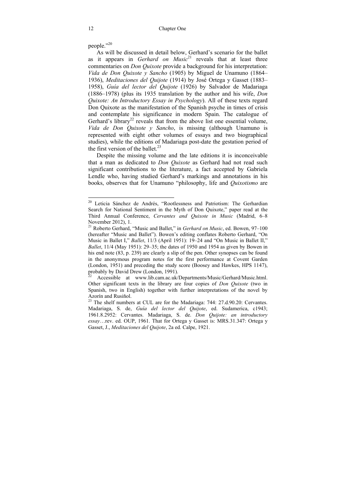people."20

As will be discussed in detail below, Gerhard's scenario for the ballet as it appears in *Gerhard on Music*<sup>21</sup> reveals that at least three commentaries on *Don Quixote* provide a background for his interpretation: *Vida de Don Quixote y Sancho* (1905) by Miguel de Unamuno (1864– 1936), *Meditaciones del Quijote* (1914) by José Ortega y Gasset (1883– 1958), *Guía del lector del Quijote* (1926) by Salvador de Madariaga (1886–1978) (plus its 1935 translation by the author and his wife, *Don Quixote: An Introductory Essay in Psychology*). All of these texts regard Don Quixote as the manifestation of the Spanish psyche in times of crisis and contemplate his significance in modern Spain. The catalogue of Gerhard's library<sup>22</sup> reveals that from the above list one essential volume, *Vida de Don Quixote y Sancho*, is missing (although Unamuno is represented with eight other volumes of essays and two biographical studies), while the editions of Madariaga post-date the gestation period of the first version of the ballet. $^{23}$ 

Despite the missing volume and the late editions it is inconceivable that a man as dedicated to *Don Quixote* as Gerhard had not read such significant contributions to the literature, a fact accepted by Gabriela Lendle who, having studied Gerhard's markings and annotations in his books, observes that for Unamuno "philosophy, life and *Quixotismo* are

<sup>&</sup>lt;sup>20</sup> Leticia Sánchez de Andrés, "Rootlessness and Patriotism: The Gerhardian Search for National Sentiment in the Myth of Don Quixote," paper read at the Third Annual Conference, *Cervantes and Quixote in Music* (Madrid, 6–8 November 2012), 1.

<sup>21</sup> Roberto Gerhard, "Music and Ballet," in *Gerhard on Music*, ed. Bowen, 97–100 (hereafter "Music and Ballet"). Bowen's editing conflates Roberto Gerhard, "On Music in Ballet I," *Ballet*, 11/3 (April 1951): 19–24 and "On Music in Ballet II," *Ballet*, 11/4 (May 1951): 29–35; the dates of 1950 and 1954 as given by Bowen in his end note (83, p. 239) are clearly a slip of the pen. Other synopses can be found in the anonymous program notes for the first performance at Covent Garden (London, 1951) and preceding the study score (Boosey and Hawkes, HPS 1147), probably by David Drew (London, 1991).

Accessible at www.lib.cam.ac.uk/Departments/Music/Gerhard/Music.html. Other significant texts in the library are four copies of *Don Quixote* (two in Spanish, two in English) together with further interpretations of the novel by Azorín and Rusiňol.<br><sup>23</sup> The shelf numbers at CUL are for the Madariaga: 744: 27.d.90.20: Cervantes.

Madariaga, S. de, *Guía del lector del Quijote*, ed. Sudamerica, c1943; 1961.8.2952: Cervantes. Madariaga, S. de. *Don Quijote: an introductory essay*…rev. ed. OUP, 1961. That for Ortega y Gasset is: MRS.31.347: Ortega y Gasset, J., *Meditaciones del Quijote*, 2a ed. Calpe, 1921.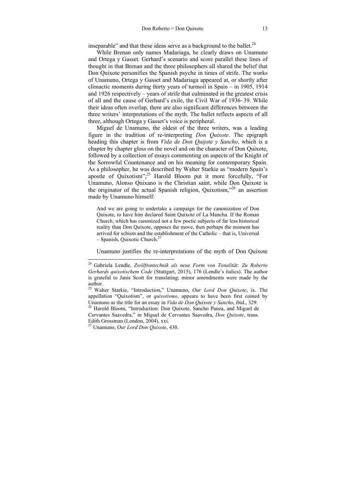inseparable" and that these ideas serve as a background to the ballet. $24$ 

While Brenan only names Madariaga, he clearly draws on Unamuno and Ortega y Gasset. Gerhard's scenario and score parallel these lines of thought in that Brenan and the three philosophers all shared the belief that Don Quixote personifies the Spanish psyche in times of strife. The works of Unamuno, Ortega y Gasset and Madariaga appeared at, or shortly after climactic moments during thirty years of turmoil in Spain – in 1905, 1914 and 1926 respectively – years of strife that culminated in the greatest crisis of all and the cause of Gerhard's exile, the Civil War of 1936–39. While their ideas often overlap, there are also significant differences between the three writers' interpretations of the myth. The ballet reflects aspects of all three, although Ortega y Gasset's voice is peripheral.

Miguel de Unamuno, the oldest of the three writers, was a leading figure in the tradition of re-interpreting *Don Quixote*. The epigraph heading this chapter is from *Vida de Don Quijote y Sancho*, which is a chapter by chapter gloss on the novel and on the character of Don Quixote, followed by a collection of essays commenting on aspects of the Knight of the Sorrowful Countenance and on his meaning for contemporary Spain. As a philosopher, he was described by Walter Starkie as "modern Spain's apostle of Quixotism";25 Harold Bloom put it more forcefully, "For Unamuno, Alonso Quixano is the Christian saint, while Don Quixote is the originator of the actual Spanish religion, Quixotism,"26 an assertion made by Unamuno himself:

And we are going to undertake a campaign for the canonization of Don Quixote, to have him declared Saint Quixote of La Mancha. If the Roman Church, which has canonized not a few poetic subjects of far less historical reality than Don Quixote, opposes the move, then perhaps the moment has arrived for schism and the establishment of the Catholic – that is, Universal  $-$  Spanish, Quixotic Church.<sup>27</sup>

Unamuno justifies the re-interpretations of the myth of Don Quixote

<sup>24</sup> Gabriela Lendle, *Zwölftontechnik als neue Form von Tonalität: Zu Roberto Gerhards quixotischem Code* (Stuttgart, 2015), 176 (Lendle's italics). The author is grateful to Janis Scott for translating; minor amendments were made by the author.

<sup>25</sup> Walter Starkie, "Introduction," Unamuno, *Our Lord Don Quixote*, ix. The appellation "Quixotism", or *quixotismo*, appears to have been first coined by Unamuno as the title for an essay in *Vida de Don Quixote y Sancho*, ibid., 329. 26 Harold Bloom, "Introduction: Don Quixote, Sancho Panza, and Miguel de

Cervantes Saavedra," in Miguel de Cervantes Saavedra, *Don Quixote*, trans. Edith Grossman (London, 2004), xxi.

<sup>27</sup> Unamuno, *Our Lord Don Quixote*, 430.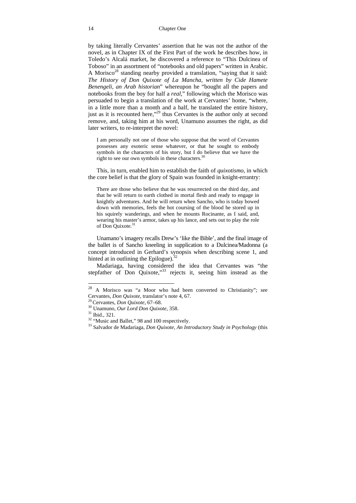by taking literally Cervantes' assertion that he was not the author of the novel, as in Chapter IX of the First Part of the work he describes how, in Toledo's Alcalá market, he discovered a reference to "This Dulcinea of Toboso" in an assortment of "notebooks and old papers" written in Arabic. A Morisco<sup>28</sup> standing nearby provided a translation, "saying that it said: *The History of Don Quixote of La Mancha, written by Cide Hamete Benengeli, an Arab historian*" whereupon he "bought all the papers and notebooks from the boy for half a *real*," following which the Morisco was persuaded to begin a translation of the work at Cervantes' home, "where, in a little more than a month and a half, he translated the entire history, just as it is recounted here,"<sup>29</sup> thus Cervantes is the author only at second remove, and, taking him at his word, Unamuno assumes the right, as did later writers, to re-interpret the novel:

I am personally not one of those who suppose that the word of Cervantes possesses any esoteric sense whatever, or that he sought to embody symbols in the characters of his story, but I do believe that we have the right to see our own symbols in these characters.<sup>30</sup>

This, in turn, enabled him to establish the faith of *quixotismo*, in which the core belief is that the glory of Spain was founded in knight-errantry:

There are those who believe that he was resurrected on the third day, and that he will return to earth clothed in mortal flesh and ready to engage in knightly adventures. And he will return when Sancho, who is today bowed down with memories, feels the hot coursing of the blood he stored up in his squirely wanderings, and when he mounts Rocinante, as I said, and, wearing his master's armor, takes up his lance, and sets out to play the role of Don Quixote.<sup>31</sup>

Unamano's imagery recalls Drew's 'like the Bible', and the final image of the ballet is of Sancho kneeling in supplication to a Dulcinea/Madonna (a concept introduced in Gerhard's synopsis when describing scene 1, and hinted at in outlining the Epilogue). $32$ 

Madariaga, having considered the idea that Cervantes was "the stepfather of Don Quixote,"<sup>33</sup> rejects it, seeing him instead as the

<sup>28</sup> A Morisco was "a Moor who had been converted to Christianity"; see Cervantes, *Don Quixote*, translator's note 4, 67.<br><sup>29</sup> Cervantes, *Don Quixote*, 67–68.<br><sup>30</sup> Unamuno, *Our Lord Don Quixote*, 358.<br><sup>31</sup> Ibid., 321.<br><sup>32</sup> "Music and Ballet," 98 and 100 respectively.

<sup>&</sup>lt;sup>33</sup> Salvador de Madariaga, *Don Quixote, An Introductory Study in Psychology* (this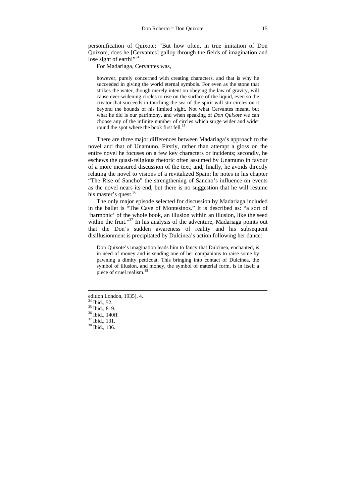personification of Quixote: "But how often, in true imitation of Don Quixote, does he [Cervantes] gallop through the fields of imagination and lose sight of earth!" $34$ 

For Madariaga, Cervantes was,

however, purely concerned with creating characters, and that is why he succeeded in giving the world eternal symbols. For even as the stone that strikes the water, though merely intent on obeying the law of gravity, will cause ever-widening circles to rise on the surface of the liquid, even so the creator that succeeds in touching the sea of the spirit will stir circles on it beyond the bounds of his limited sight. Not what Cervantes meant, but what he did is our patrimony, and when speaking of *Don Quixote* we can choose any of the infinite number of circles which surge wider and wider round the spot where the book first fell.<sup>35</sup>

There are three major differences between Madariaga's approach to the novel and that of Unamuno. Firstly, rather than attempt a gloss on the entire novel he focuses on a few key characters or incidents; secondly, he eschews the quasi-religious rhetoric often assumed by Unamuno in favour of a more measured discussion of the text; and, finally, he avoids directly relating the novel to visions of a revitalized Spain: he notes in his chapter "The Rise of Sancho" the strengthening of Sancho's influence on events as the novel nears its end, but there is no suggestion that he will resume his master's quest.<sup>36</sup>

The only major episode selected for discussion by Madariaga included in the ballet is "The Cave of Montesinos." It is described as: "a sort of 'harmonic' of the whole book, an illusion within an illusion, like the seed within the fruit."<sup>37</sup> In his analysis of the adventure, Madariaga points out that the Don's sudden awareness of reality and his subsequent disillusionment is precipitated by Dulcinea's action following her dance:

Don Quixote's imagination leads him to fancy that Dulcinea, enchanted, is in need of money and is sending one of her companions to raise some by pawning a dimity petticoat. This bringing into contact of Dulcinea, the symbol of illusion, and money, the symbol of material form, is in itself a piece of cruel realism.38

 $\overline{\phantom{a}}$ 

edition London, 1935), 4.

<sup>&</sup>lt;sup>34</sup> Ibid., 52.

<sup>35</sup> Ibid., 8–9.

<sup>36</sup> Ibid., 140ff*.* 37 Ibid., 131.

<sup>38</sup> Ibid., 136.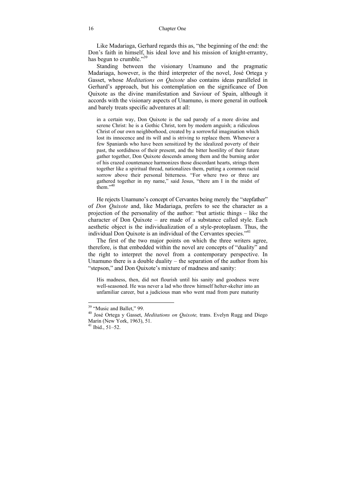Like Madariaga, Gerhard regards this as, "the beginning of the end: the Don's faith in himself, his ideal love and his mission of knight-errantry, has begun to crumble." $39$ 

Standing between the visionary Unamuno and the pragmatic Madariaga, however, is the third interpreter of the novel, José Ortega y Gasset, whose *Meditations on Quixote* also contains ideas paralleled in Gerhard's approach, but his contemplation on the significance of Don Quixote as the divine manifestation and Saviour of Spain, although it accords with the visionary aspects of Unamuno, is more general in outlook and barely treats specific adventures at all:

in a certain way, Don Quixote is the sad parody of a more divine and serene Christ: he is a Gothic Christ, torn by modern anguish; a ridiculous Christ of our own neighborhood, created by a sorrowful imagination which lost its innocence and its will and is striving to replace them. Whenever a few Spaniards who have been sensitized by the idealized poverty of their past, the sordidness of their present, and the bitter hostility of their future gather together, Don Quixote descends among them and the burning ardor of his crazed countenance harmonizes those discordant hearts, strings them together like a spiritual thread, nationalizes them, putting a common racial sorrow above their personal bitterness. "For where two or three are gathered together in my name," said Jesus, "there am I in the midst of  $then.$ <sup>140</sup>

He rejects Unamuno's concept of Cervantes being merely the "stepfather" of *Don Quixote* and, like Madariaga, prefers to see the character as a projection of the personality of the author: "but artistic things – like the character of Don Quixote – are made of a substance called style. Each aesthetic object is the individualization of a style-protoplasm. Thus, the individual Don Quixote is an individual of the Cervantes species."41

The first of the two major points on which the three writers agree, therefore, is that embedded within the novel are concepts of "duality" and the right to interpret the novel from a contemporary perspective. In Unamuno there is a double duality – the separation of the author from his "stepson," and Don Quixote's mixture of madness and sanity:

His madness, then, did not flourish until his sanity and goodness were well-seasoned. He was never a lad who threw himself helter-skelter into an unfamiliar career, but a judicious man who went mad from pure maturity

 $\overline{\phantom{a}}$ 

<sup>&</sup>lt;sup>39</sup> "Music and Ballet," 99.

<sup>40</sup> José Ortega y Gasset, *Meditations on Quixote,* trans. Evelyn Rugg and Diego Marín (New York, 1963), 51.

 $41$  Ibid.,  $51-52$ .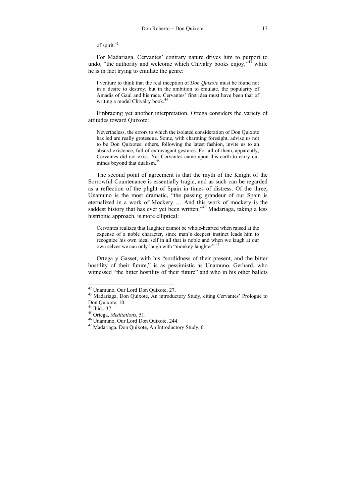of spirit.<sup>42</sup>

For Madariaga, Cervantes' contrary nature drives him to purport to undo, "the authority and welcome which Chivalry books enjoy, $\frac{1}{4}$  while he is in fact trying to emulate the genre:

I venture to think that the real inception of *Don Quixote* must be found not in a desire to destroy, but in the ambition to emulate, the popularity of Amadís of Gaul and his race. Cervantes' first idea must have been that of writing a model Chivalry book.<sup>44</sup>

Embracing yet another interpretation, Ortega considers the variety of attitudes toward Quixote:

Nevertheless, the errors to which the isolated consideration of Don Quixote has led are really grotesque. Some, with charming foresight, advise us not to be Don Quixotes; others, following the latest fashion, invite us to an absurd existence, full of extravagant gestures. For all of them, apparently, Cervantes did not exist. Yet Cervantes came upon this earth to carry our minds beyond that dualism.<sup>45</sup>

The second point of agreement is that the myth of the Knight of the Sorrowful Countenance is essentially tragic, and as such can be regarded as a reflection of the plight of Spain in times of distress. Of the three, Unamuno is the most dramatic, "the passing grandeur of our Spain is eternalized in a work of Mockery … And this work of mockery is the saddest history that has ever yet been written."<sup>46</sup> Madariaga, taking a less histrionic approach, is more elliptical:

Cervantes realizes that laughter cannot be whole-hearted when raised at the expense of a noble character, since man's deepest instinct leads him to recognize his own ideal self in all that is noble and when we laugh at our own selves we can only laugh with "monkey laughter".47

Ortega y Gasset, with his "sordidness of their present, and the bitter hostility of their future," is as pessimistic as Unamuno. Gerhard, who witnessed "the bitter hostility of their future" and who in his other ballets

<sup>42</sup> Unamuno, Our Lord Don Quixote, 27.

<sup>43</sup> Madariaga, Don Quixote, An introductory Study, citing Cervantes' Prologue to Don Quixote, 10.

 $\frac{44}{45}$  Ibid., 37.<br><sup>45</sup> Ortega, *Meditations*, 51.

<sup>&</sup>lt;sup>46</sup> Unamuno, Our Lord Don Quixote, 244.

<sup>47</sup> Madariaga, Don Quixote, An Introductory Study, 6.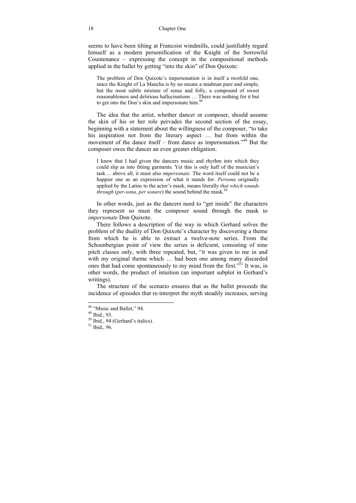seems to have been tilting at Francoist windmills, could justifiably regard himself as a modern personification of the Knight of the Sorrowful Countenance – expressing the concept in the compositional methods applied in the ballet by getting "into the skin" of Don Quixote:

The problem of Don Quixote's impersonation is in itself a twofold one, since the Knight of La Mancha is by no means a madman pure and simple, but the most subtle mixture of sense and folly, a compound of sweet reasonableness and delirious hallucinations … There was nothing for it but to get into the Don's skin and impersonate him.<sup>48</sup>

The idea that the artist, whether dancer or composer, should assume the skin of his or her role pervades the second section of the essay, beginning with a statement about the willingness of the composer, "to take his inspiration not from the literary aspect ... but from within the movement of the dance itself – from dance as impersonation."49 But the composer owes the dancer an even greater obligation:

I knew that I had given the dancers music and rhythm into which they could slip as into fitting garments. Yet this is only half of the musician's task ... above all, it must also *impersonate.* The word itself could not be a happier one as an expression of what it stands for. *Persona* originally applied by the Latins to the actor's mask, means literally *that which sounds through (per-sona, per sonare)* the sound behind the mask.<sup>50</sup>

In other words, just as the dancers need to "get inside" the characters they represent so must the composer sound through the mask to *impersonate* Don Quixote.

There follows a description of the way in which Gerhard solves the problem of the duality of Don Quixote's character by discovering a theme from which he is able to extract a twelve-note series. From the Schoenbergian point of view the series is deficient, consisting of nine pitch classes only, with three repeated, but, "it was given to me in and with my original theme which … had been one among many discarded ones that had come spontaneously to my mind from the first.<sup>351</sup> It was, in other words, the product of intuition (an important subplot in Gerhard's writings).

The structure of the scenario ensures that as the ballet proceeds the incidence of episodes that re-interpret the myth steadily increases, serving

 $\overline{\phantom{a}}$ 

<sup>&</sup>lt;sup>48</sup> "Music and Ballet," 94.

<sup>49</sup> Ibid., 93.

 $50$  Ibid., 94 (Gerhard's italics).

 $51$  Ibid., 96.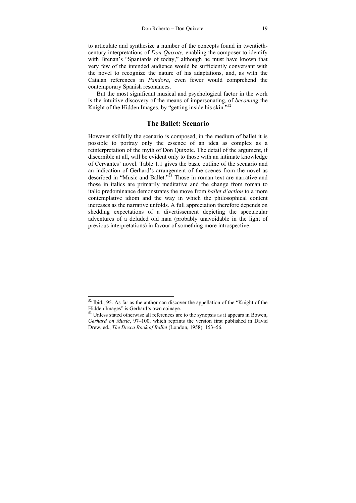to articulate and synthesize a number of the concepts found in twentiethcentury interpretations of *Don Quixote,* enabling the composer to identify with Brenan's "Spaniards of today," although he must have known that very few of the intended audience would be sufficiently conversant with the novel to recognize the nature of his adaptations, and, as with the Catalan references in *Pandora*, even fewer would comprehend the contemporary Spanish resonances.

But the most significant musical and psychological factor in the work is the intuitive discovery of the means of impersonating, of *becoming* the Knight of the Hidden Images, by "getting inside his skin."<sup>52</sup>

#### **The Ballet: Scenario**

However skilfully the scenario is composed, in the medium of ballet it is possible to portray only the essence of an idea as complex as a reinterpretation of the myth of Don Quixote. The detail of the argument, if discernible at all, will be evident only to those with an intimate knowledge of Cervantes' novel. Table 1.1 gives the basic outline of the scenario and an indication of Gerhard's arrangement of the scenes from the novel as described in "Music and Ballet."<sup>53</sup> Those in roman text are narrative and those in italics are primarily meditative and the change from roman to italic predominance demonstrates the move from *ballet d'action* to a more contemplative idiom and the way in which the philosophical content increases as the narrative unfolds. A full appreciation therefore depends on shedding expectations of a divertissement depicting the spectacular adventures of a deluded old man (probably unavoidable in the light of previous interpretations) in favour of something more introspective.

 $52$  Ibid., 95. As far as the author can discover the appellation of the "Knight of the Hidden Images" is Gerhard's own coinage.

<sup>&</sup>lt;sup>53</sup> Unless stated otherwise all references are to the synopsis as it appears in Bowen, *Gerhard on Music*, 97–100, which reprints the version first published in David Drew, ed., *The Decca Book of Ballet* (London, 1958), 153–56.